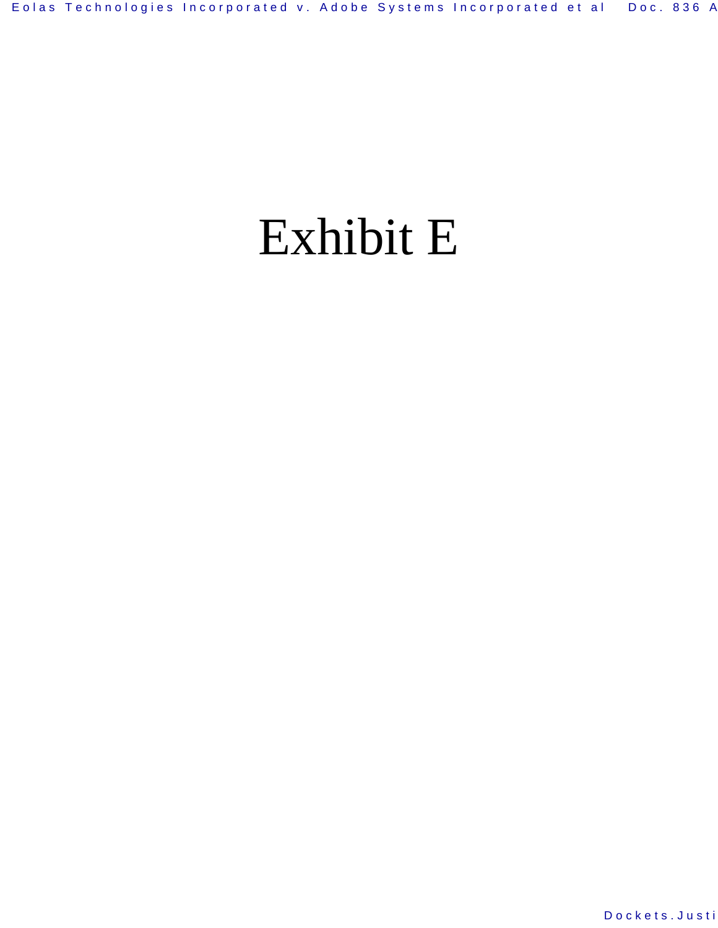# Exhibit E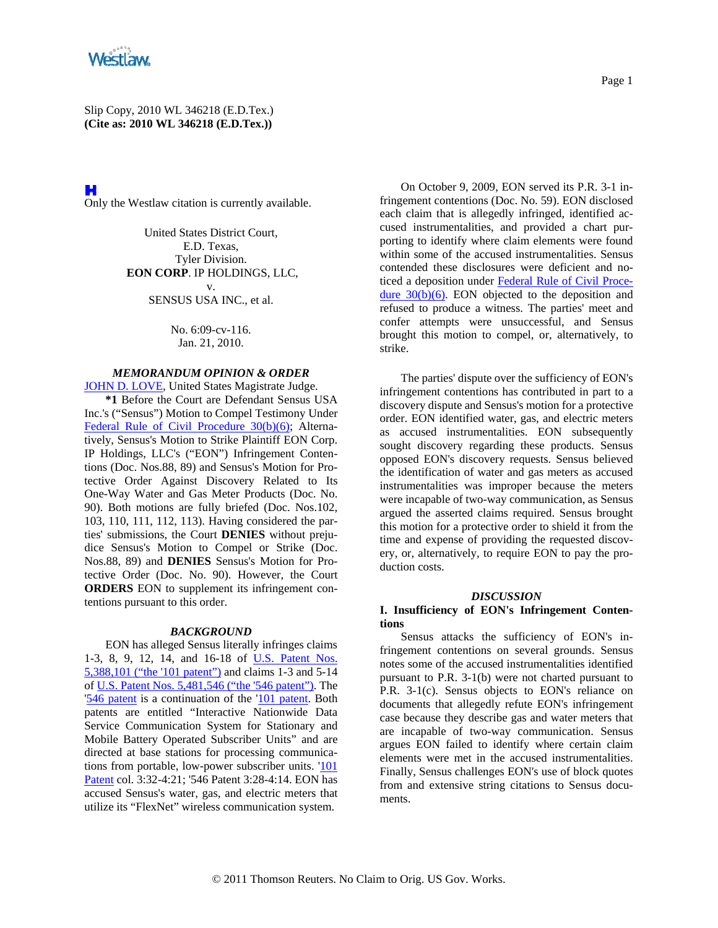

H Only the Westlaw citation is currently available.

> United States District Court, E.D. Texas, Tyler Division. **EON CORP**. IP HOLDINGS, LLC, v. SENSUS USA INC., et al.

> > No. 6:09-cv-116. Jan. 21, 2010.

# *MEMORANDUM OPINION & ORDER*

JOHN D. LOVE, United States Magistrate Judge. **\*1** Before the Court are Defendant Sensus USA Inc.'s ("Sensus") Motion to Compel Testimony Under Federal Rule of Civil Procedure 30(b)(6); Alternatively, Sensus's Motion to Strike Plaintiff EON Corp. IP Holdings, LLC's ("EON") Infringement Contentions (Doc. Nos.88, 89) and Sensus's Motion for Protective Order Against Discovery Related to Its One-Way Water and Gas Meter Products (Doc. No. 90). Both motions are fully briefed (Doc. Nos.102, 103, 110, 111, 112, 113). Having considered the parties' submissions, the Court **DENIES** without prejudice Sensus's Motion to Compel or Strike (Doc. Nos.88, 89) and **DENIES** Sensus's Motion for Protective Order (Doc. No. 90). However, the Court **ORDERS** EON to supplement its infringement contentions pursuant to this order.

#### *BACKGROUND*

EON has alleged Sensus literally infringes claims 1-3, 8, 9, 12, 14, and 16-18 of U.S. Patent Nos. 5,388,101 ("the '101 patent") and claims 1-3 and 5-14 of U.S. Patent Nos. 5,481,546 ("the '546 patent"). The '546 patent is a continuation of the '101 patent. Both patents are entitled "Interactive Nationwide Data Service Communication System for Stationary and Mobile Battery Operated Subscriber Units" and are directed at base stations for processing communications from portable, low-power subscriber units. '101 Patent col. 3:32-4:21; '546 Patent 3:28-4:14. EON has accused Sensus's water, gas, and electric meters that utilize its "FlexNet" wireless communication system.

On October 9, 2009, EON served its P.R. 3-1 infringement contentions (Doc. No. 59). EON disclosed each claim that is allegedly infringed, identified accused instrumentalities, and provided a chart purporting to identify where claim elements were found within some of the accused instrumentalities. Sensus contended these disclosures were deficient and noticed a deposition under Federal Rule of Civil Procedure  $30(b)(6)$ . EON objected to the deposition and refused to produce a witness. The parties' meet and confer attempts were unsuccessful, and Sensus brought this motion to compel, or, alternatively, to strike.

The parties' dispute over the sufficiency of EON's infringement contentions has contributed in part to a discovery dispute and Sensus's motion for a protective order. EON identified water, gas, and electric meters as accused instrumentalities. EON subsequently sought discovery regarding these products. Sensus opposed EON's discovery requests. Sensus believed the identification of water and gas meters as accused instrumentalities was improper because the meters were incapable of two-way communication, as Sensus argued the asserted claims required. Sensus brought this motion for a protective order to shield it from the time and expense of providing the requested discovery, or, alternatively, to require EON to pay the production costs.

#### *DISCUSSION*

### **I. Insufficiency of EON's Infringement Contentions**

Sensus attacks the sufficiency of EON's infringement contentions on several grounds. Sensus notes some of the accused instrumentalities identified pursuant to P.R. 3-1(b) were not charted pursuant to P.R. 3-1(c). Sensus objects to EON's reliance on documents that allegedly refute EON's infringement case because they describe gas and water meters that are incapable of two-way communication. Sensus argues EON failed to identify where certain claim elements were met in the accused instrumentalities. Finally, Sensus challenges EON's use of block quotes from and extensive string citations to Sensus documents.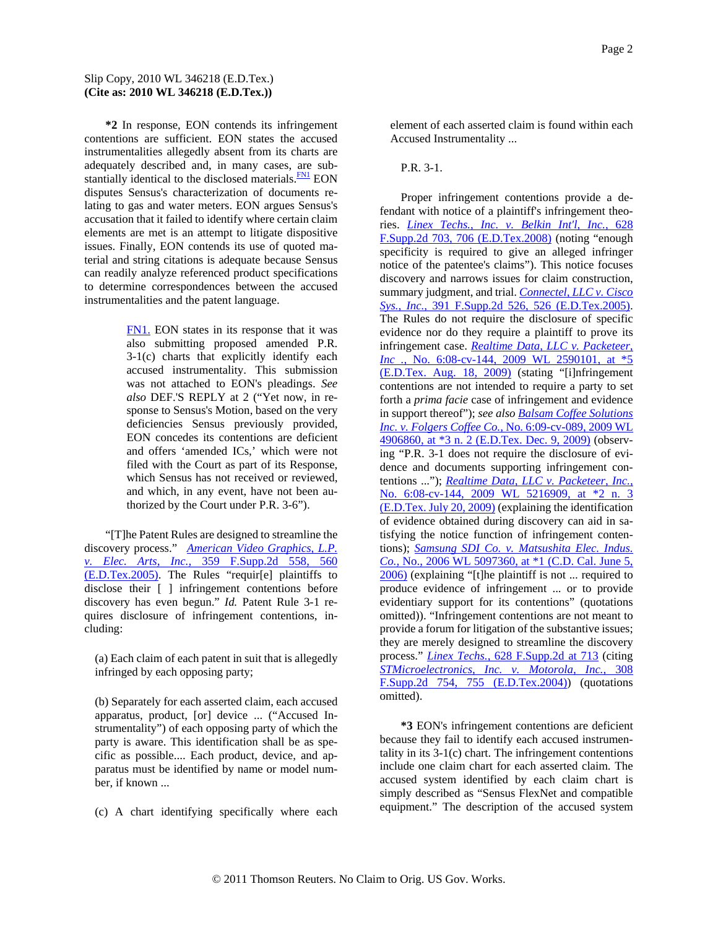**\*2** In response, EON contends its infringement contentions are sufficient. EON states the accused instrumentalities allegedly absent from its charts are adequately described and, in many cases, are substantially identical to the disclosed materials. $\frac{FN1}{FN}$  EON disputes Sensus's characterization of documents relating to gas and water meters. EON argues Sensus's accusation that it failed to identify where certain claim elements are met is an attempt to litigate dispositive issues. Finally, EON contends its use of quoted material and string citations is adequate because Sensus can readily analyze referenced product specifications to determine correspondences between the accused instrumentalities and the patent language.

> FN1. EON states in its response that it was also submitting proposed amended P.R. 3-1(c) charts that explicitly identify each accused instrumentality. This submission was not attached to EON's pleadings. *See also* DEF.'S REPLY at 2 ("Yet now, in response to Sensus's Motion, based on the very deficiencies Sensus previously provided, EON concedes its contentions are deficient and offers 'amended ICs,' which were not filed with the Court as part of its Response, which Sensus has not received or reviewed, and which, in any event, have not been authorized by the Court under P.R. 3-6").

"[T]he Patent Rules are designed to streamline the discovery process." *American Video Graphics, L.P. v. Elec. Arts, Inc.,* 359 F.Supp.2d 558, 560 (E.D.Tex.2005). The Rules "requir[e] plaintiffs to disclose their [ ] infringement contentions before discovery has even begun." *Id.* Patent Rule 3-1 requires disclosure of infringement contentions, including:

(a) Each claim of each patent in suit that is allegedly infringed by each opposing party;

(b) Separately for each asserted claim, each accused apparatus, product, [or] device ... ("Accused Instrumentality") of each opposing party of which the party is aware. This identification shall be as specific as possible.... Each product, device, and apparatus must be identified by name or model number, if known ...

(c) A chart identifying specifically where each

element of each asserted claim is found within each Accused Instrumentality ...

#### P.R. 3-1.

Proper infringement contentions provide a defendant with notice of a plaintiff's infringement theories. *Linex Techs., Inc. v. Belkin Int'l, Inc.,* 628 F.Supp.2d 703, 706 (E.D.Tex.2008) (noting "enough specificity is required to give an alleged infringer notice of the patentee's claims"). This notice focuses discovery and narrows issues for claim construction, summary judgment, and trial. *Connectel, LLC v. Cisco Sys., Inc.,* 391 F.Supp.2d 526, 526 (E.D.Tex.2005). The Rules do not require the disclosure of specific evidence nor do they require a plaintiff to prove its infringement case. *Realtime Data, LLC v. Packeteer, Inc.*, No. 6:08-cv-144, 2009 WL 2590101, at \*5 (E.D.Tex. Aug. 18, 2009) (stating "[i]nfringement contentions are not intended to require a party to set forth a *prima facie* case of infringement and evidence in support thereof"); *see also Balsam Coffee Solutions Inc. v. Folgers Coffee Co.,* No. 6:09-cv-089, 2009 WL 4906860, at \*3 n. 2 (E.D.Tex. Dec. 9, 2009) (observing "P.R. 3-1 does not require the disclosure of evidence and documents supporting infringement contentions ..."); *Realtime Data, LLC v. Packeteer, Inc.,* No. 6:08-cv-144, 2009 WL 5216909, at \*2 n. 3 (E.D.Tex. July 20, 2009) (explaining the identification of evidence obtained during discovery can aid in satisfying the notice function of infringement contentions); *Samsung SDI Co. v. Matsushita Elec. Indus. Co.,* No., 2006 WL 5097360, at \*1 (C.D. Cal. June 5, 2006) (explaining "[t]he plaintiff is not ... required to produce evidence of infringement ... or to provide evidentiary support for its contentions" (quotations omitted)). "Infringement contentions are not meant to provide a forum for litigation of the substantive issues; they are merely designed to streamline the discovery process." *Linex Techs.,* 628 F.Supp.2d at 713 (citing *STMicroelectronics, Inc. v. Motorola, Inc.,* 308 F.Supp.2d 754, 755 (E.D.Tex.2004)) (quotations omitted).

**\*3** EON's infringement contentions are deficient because they fail to identify each accused instrumentality in its 3-1(c) chart. The infringement contentions include one claim chart for each asserted claim. The accused system identified by each claim chart is simply described as "Sensus FlexNet and compatible equipment." The description of the accused system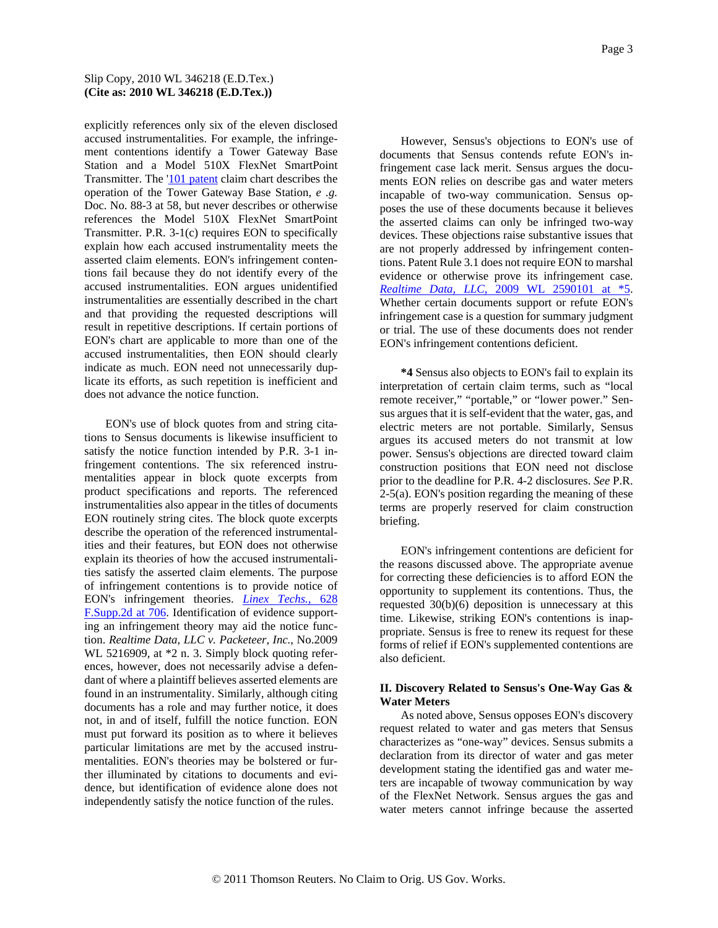explicitly references only six of the eleven disclosed accused instrumentalities. For example, the infringement contentions identify a Tower Gateway Base Station and a Model 510X FlexNet SmartPoint Transmitter. The '101 patent claim chart describes the operation of the Tower Gateway Base Station, *e .g.* Doc. No. 88-3 at 58, but never describes or otherwise references the Model 510X FlexNet SmartPoint Transmitter. P.R. 3-1(c) requires EON to specifically explain how each accused instrumentality meets the asserted claim elements. EON's infringement contentions fail because they do not identify every of the accused instrumentalities. EON argues unidentified instrumentalities are essentially described in the chart and that providing the requested descriptions will result in repetitive descriptions. If certain portions of EON's chart are applicable to more than one of the accused instrumentalities, then EON should clearly indicate as much. EON need not unnecessarily duplicate its efforts, as such repetition is inefficient and does not advance the notice function.

EON's use of block quotes from and string citations to Sensus documents is likewise insufficient to satisfy the notice function intended by P.R. 3-1 infringement contentions. The six referenced instrumentalities appear in block quote excerpts from product specifications and reports. The referenced instrumentalities also appear in the titles of documents EON routinely string cites. The block quote excerpts describe the operation of the referenced instrumentalities and their features, but EON does not otherwise explain its theories of how the accused instrumentalities satisfy the asserted claim elements. The purpose of infringement contentions is to provide notice of EON's infringement theories. *Linex Techs.,* 628 F.Supp.2d at 706. Identification of evidence supporting an infringement theory may aid the notice function. *Realtime Data, LLC v. Packeteer, Inc.,* No.2009 WL 5216909, at \*2 n. 3. Simply block quoting references, however, does not necessarily advise a defendant of where a plaintiff believes asserted elements are found in an instrumentality. Similarly, although citing documents has a role and may further notice, it does not, in and of itself, fulfill the notice function. EON must put forward its position as to where it believes particular limitations are met by the accused instrumentalities. EON's theories may be bolstered or further illuminated by citations to documents and evidence, but identification of evidence alone does not independently satisfy the notice function of the rules.

However, Sensus's objections to EON's use of documents that Sensus contends refute EON's infringement case lack merit. Sensus argues the documents EON relies on describe gas and water meters incapable of two-way communication. Sensus opposes the use of these documents because it believes the asserted claims can only be infringed two-way devices. These objections raise substantive issues that are not properly addressed by infringement contentions. Patent Rule 3.1 does not require EON to marshal evidence or otherwise prove its infringement case. *Realtime Data, LLC,* 2009 WL 2590101 at \*5. Whether certain documents support or refute EON's infringement case is a question for summary judgment or trial. The use of these documents does not render EON's infringement contentions deficient.

**\*4** Sensus also objects to EON's fail to explain its interpretation of certain claim terms, such as "local remote receiver," "portable," or "lower power." Sensus argues that it is self-evident that the water, gas, and electric meters are not portable. Similarly, Sensus argues its accused meters do not transmit at low power. Sensus's objections are directed toward claim construction positions that EON need not disclose prior to the deadline for P.R. 4-2 disclosures. *See* P.R. 2-5(a). EON's position regarding the meaning of these terms are properly reserved for claim construction briefing.

EON's infringement contentions are deficient for the reasons discussed above. The appropriate avenue for correcting these deficiencies is to afford EON the opportunity to supplement its contentions. Thus, the requested 30(b)(6) deposition is unnecessary at this time. Likewise, striking EON's contentions is inappropriate. Sensus is free to renew its request for these forms of relief if EON's supplemented contentions are also deficient.

# **II. Discovery Related to Sensus's One-Way Gas & Water Meters**

As noted above, Sensus opposes EON's discovery request related to water and gas meters that Sensus characterizes as "one-way" devices. Sensus submits a declaration from its director of water and gas meter development stating the identified gas and water meters are incapable of twoway communication by way of the FlexNet Network. Sensus argues the gas and water meters cannot infringe because the asserted